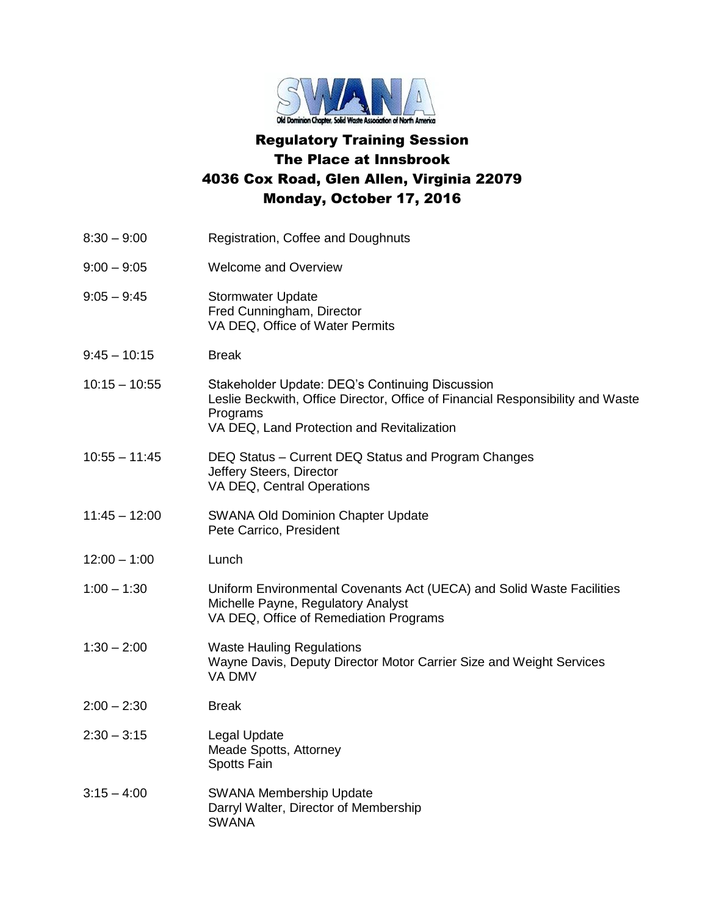

## Regulatory Training Session The Place at Innsbrook 4036 Cox Road, Glen Allen, Virginia 22079 Monday, October 17, 2016

| $8:30 - 9:00$   | Registration, Coffee and Doughnuts                                                                                                                                                          |
|-----------------|---------------------------------------------------------------------------------------------------------------------------------------------------------------------------------------------|
| $9:00 - 9:05$   | <b>Welcome and Overview</b>                                                                                                                                                                 |
| $9:05 - 9:45$   | <b>Stormwater Update</b><br>Fred Cunningham, Director<br>VA DEQ, Office of Water Permits                                                                                                    |
| $9:45 - 10:15$  | <b>Break</b>                                                                                                                                                                                |
| $10:15 - 10:55$ | Stakeholder Update: DEQ's Continuing Discussion<br>Leslie Beckwith, Office Director, Office of Financial Responsibility and Waste<br>Programs<br>VA DEQ, Land Protection and Revitalization |
| $10:55 - 11:45$ | DEQ Status - Current DEQ Status and Program Changes<br>Jeffery Steers, Director<br>VA DEQ, Central Operations                                                                               |
| $11:45 - 12:00$ | <b>SWANA Old Dominion Chapter Update</b><br>Pete Carrico, President                                                                                                                         |
| $12:00 - 1:00$  | Lunch                                                                                                                                                                                       |
| $1:00 - 1:30$   | Uniform Environmental Covenants Act (UECA) and Solid Waste Facilities<br>Michelle Payne, Regulatory Analyst<br>VA DEQ, Office of Remediation Programs                                       |
| $1:30 - 2:00$   | <b>Waste Hauling Regulations</b><br>Wayne Davis, Deputy Director Motor Carrier Size and Weight Services<br>VA DMV                                                                           |
| $2:00 - 2:30$   | <b>Break</b>                                                                                                                                                                                |
| $2:30 - 3:15$   | Legal Update<br>Meade Spotts, Attorney<br>Spotts Fain                                                                                                                                       |
| $3:15 - 4:00$   | <b>SWANA Membership Update</b><br>Darryl Walter, Director of Membership<br><b>SWANA</b>                                                                                                     |